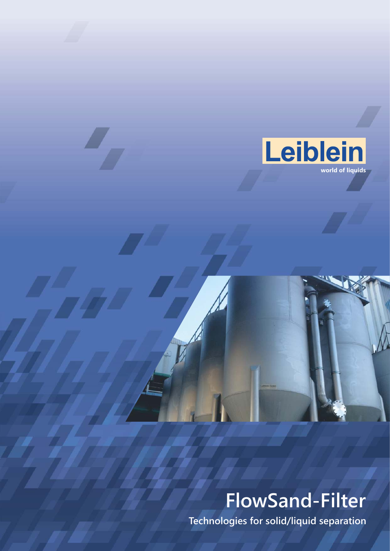

# **FlowSand-Filter**

**Technologies for solid/liquid separation**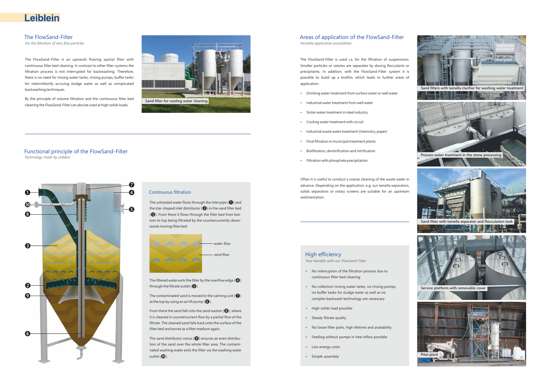*For the filtration of very fine particles*

## Leiblein

### The FlowSand-Filter

The FlowSand-Filter is an upwards flowing spatial filter with continuous filter bed cleaning. In contrast to other filter systems the filtration process is not interrupted for backwashing. Therefore, there is no need for rinsing water tanks, rinsing pumps, buffer tanks for intermittently accruing sludge water as well as complicated backwashing techniques.

By the principle of volume filtration and the continuous filter bed cleaning the FlowSand-Filter can also be used at high solids loads.

> From there the sand falls into the sand washer  $(③)$ , where it is cleaned in countercurrent flow by a partial flow of the filtrate. The cleaned sand falls back onto the surface of the filter bed and serves as a filter medium again.

> The sand distributor conus ( $\bullet$ ) ensures an even distribution of the sand over the whole filter area. The contaminated washing water exits the filter via the washing water outlet  $(\mathbf{0})$ .

> The untreated water flows through the inlet pipe  $(①)$  and the star-shaped inlet distributor ( $\bigcirc$ ) in the sand filter bed (❸). From there it flows through the filter bed from bottom to top being filtrated by the countercurrently downwards moving filter bed.

The FlowSand-Filter is used i.a. for the filtration of suspensions. Smaller particles or solutes are separates by dosing flocculants or precipitants. In addition, with the FlowSand-Filter system it is possible to build up a biofilm, which leads to further areas of application.

- Drinking water treatment from surface water or well water
- $\cdot$  Industrial water treatment from well water
- Sinter water treatment in steel industry
- Cooling water treatment with circuit
- $\cdot$  Industrial waste water treatment (chemistry, paper)
- Final filtration in municipal treatment plants
- $\cdot$  Biofiltration, denitrification and nitrification
- $\cdot$  Filtration with phosphate precipitation

Often it is useful to conduct a coarse cleaning of the waste water in advance. Depending on the application, e.g. our lamella separators, solids separators or rotary screens are suitable for an upstream sedimentation.

#### High efficiency

*Your benefits with our FlowSand-Filter*

- No interruption of the filtration process due to continuous filter bed cleaning
- No collection rinsing water tanks, no rinsing pumps, no buffer tanks for sludge water as well as no complex backwash technology are necessary
- High solids load possible
- Steady filtrate quality
- No loose filter parts, high lifetime and availability
- Feeding without pumps in free inflow possible
- Low energy costs
- Simple assembly

#### Areas of application of the FlowSand-Filter *Versatile application possibilities*

#### Functional principle of the FlowSand-Filter *Technology made by Leiblein*



#### **Continuous filtration**



The filtered water exits the filter by the overflow edge  $(4)$ through the filtrate outlet  $\left( \bigodot \right)$ .

The contaminated sand is moved to the calming unit  $\left(\bigcirc\right)$ at the top by using an air lift pump  $(6)$ .